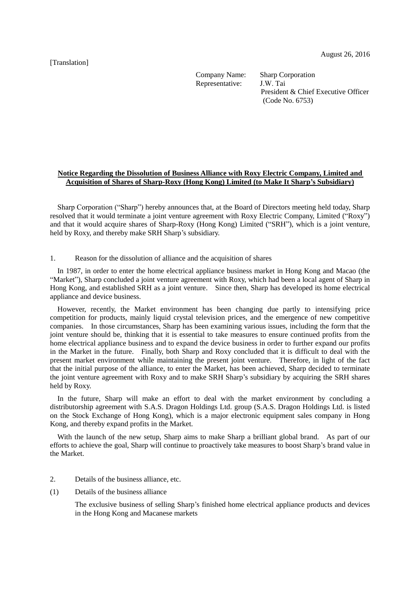[Translation]

Company Name: Representative:

Sharp Corporation J.W. Tai President & Chief Executive Officer (Code No. 6753)

## **Notice Regarding the Dissolution of Business Alliance with Roxy Electric Company, Limited and Acquisition of Shares of Sharp-Roxy (Hong Kong) Limited (to Make It Sharp's Subsidiary)**

Sharp Corporation ("Sharp") hereby announces that, at the Board of Directors meeting held today, Sharp resolved that it would terminate a joint venture agreement with Roxy Electric Company, Limited ("Roxy") and that it would acquire shares of Sharp-Roxy (Hong Kong) Limited ("SRH"), which is a joint venture, held by Roxy, and thereby make SRH Sharp's subsidiary.

1. Reason for the dissolution of alliance and the acquisition of shares

In 1987, in order to enter the home electrical appliance business market in Hong Kong and Macao (the "Market"), Sharp concluded a joint venture agreement with Roxy, which had been a local agent of Sharp in Hong Kong, and established SRH as a joint venture. Since then, Sharp has developed its home electrical appliance and device business.

However, recently, the Market environment has been changing due partly to intensifying price competition for products, mainly liquid crystal television prices, and the emergence of new competitive companies. In those circumstances, Sharp has been examining various issues, including the form that the joint venture should be, thinking that it is essential to take measures to ensure continued profits from the home electrical appliance business and to expand the device business in order to further expand our profits in the Market in the future. Finally, both Sharp and Roxy concluded that it is difficult to deal with the present market environment while maintaining the present joint venture. Therefore, in light of the fact that the initial purpose of the alliance, to enter the Market, has been achieved, Sharp decided to terminate the joint venture agreement with Roxy and to make SRH Sharp's subsidiary by acquiring the SRH shares held by Roxy.

In the future, Sharp will make an effort to deal with the market environment by concluding a distributorship agreement with S.A.S. Dragon Holdings Ltd. group (S.A.S. Dragon Holdings Ltd. is listed on the Stock Exchange of Hong Kong), which is a major electronic equipment sales company in Hong Kong, and thereby expand profits in the Market.

With the launch of the new setup, Sharp aims to make Sharp a brilliant global brand. As part of our efforts to achieve the goal, Sharp will continue to proactively take measures to boost Sharp's brand value in the Market.

- 2. Details of the business alliance, etc.
- (1) Details of the business alliance

The exclusive business of selling Sharp's finished home electrical appliance products and devices in the Hong Kong and Macanese markets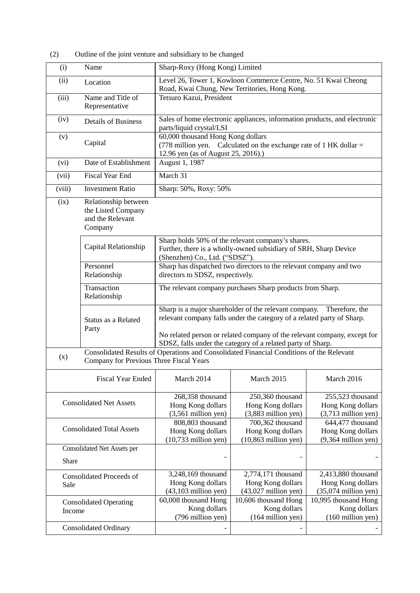(2) Outline of the joint venture and subsidiary to be changed

| (i)                                                                                                                                        | Name                                                                      | Sharp-Roxy (Hong Kong) Limited                                                                                                                                                                                                                                             |                                                                                                                       |                                                                   |
|--------------------------------------------------------------------------------------------------------------------------------------------|---------------------------------------------------------------------------|----------------------------------------------------------------------------------------------------------------------------------------------------------------------------------------------------------------------------------------------------------------------------|-----------------------------------------------------------------------------------------------------------------------|-------------------------------------------------------------------|
| (ii)                                                                                                                                       | Location                                                                  | Level 26, Tower 1, Kowloon Commerce Centre, No. 51 Kwai Cheong<br>Road, Kwai Chung, New Territories, Hong Kong.                                                                                                                                                            |                                                                                                                       |                                                                   |
| (iii)                                                                                                                                      | Name and Title of<br>Representative                                       | Tetsuro Kazui, President                                                                                                                                                                                                                                                   |                                                                                                                       |                                                                   |
| (iv)                                                                                                                                       | <b>Details of Business</b>                                                | Sales of home electronic appliances, information products, and electronic<br>parts/liquid crystal/LSI                                                                                                                                                                      |                                                                                                                       |                                                                   |
| (v)                                                                                                                                        | Capital                                                                   | 60,000 thousand Hong Kong dollars<br>(778 million yen. Calculated on the exchange rate of 1 HK dollar =<br>12.96 yen (as of August 25, 2016).)                                                                                                                             |                                                                                                                       |                                                                   |
| (vi)                                                                                                                                       | Date of Establishment                                                     | August 1, 1987                                                                                                                                                                                                                                                             |                                                                                                                       |                                                                   |
| (vii)                                                                                                                                      | <b>Fiscal Year End</b>                                                    | March 31                                                                                                                                                                                                                                                                   |                                                                                                                       |                                                                   |
| (viii)                                                                                                                                     | <b>Investment Ratio</b>                                                   | Sharp: 50%, Roxy: 50%                                                                                                                                                                                                                                                      |                                                                                                                       |                                                                   |
| (ix)                                                                                                                                       | Relationship between<br>the Listed Company<br>and the Relevant<br>Company |                                                                                                                                                                                                                                                                            |                                                                                                                       |                                                                   |
|                                                                                                                                            | Capital Relationship                                                      | (Shenzhen) Co., Ltd. ("SDSZ").                                                                                                                                                                                                                                             | Sharp holds 50% of the relevant company's shares.<br>Further, there is a wholly-owned subsidiary of SRH, Sharp Device |                                                                   |
|                                                                                                                                            | Personnel<br>Relationship                                                 | directors to SDSZ, respectively.                                                                                                                                                                                                                                           | Sharp has dispatched two directors to the relevant company and two                                                    |                                                                   |
|                                                                                                                                            | Transaction<br>Relationship                                               |                                                                                                                                                                                                                                                                            | The relevant company purchases Sharp products from Sharp.                                                             |                                                                   |
|                                                                                                                                            | Status as a Related<br>Party                                              | Sharp is a major shareholder of the relevant company.<br>relevant company falls under the category of a related party of Sharp.<br>No related person or related company of the relevant company, except for<br>SDSZ, falls under the category of a related party of Sharp. |                                                                                                                       | Therefore, the                                                    |
| Consolidated Results of Operations and Consolidated Financial Conditions of the Relevant<br>(x)<br>Company for Previous Three Fiscal Years |                                                                           |                                                                                                                                                                                                                                                                            |                                                                                                                       |                                                                   |
|                                                                                                                                            | <b>Fiscal Year Ended</b>                                                  | March 2014                                                                                                                                                                                                                                                                 | March 2015                                                                                                            | March 2016                                                        |
| <b>Consolidated Net Assets</b>                                                                                                             |                                                                           | 268,358 thousand<br>Hong Kong dollars<br>$(3,561$ million yen)                                                                                                                                                                                                             | 250,360 thousand<br>Hong Kong dollars<br>$(3,883$ million yen)                                                        | 255,523 thousand<br>Hong Kong dollars<br>$(3,713$ million yen)    |
| <b>Consolidated Total Assets</b>                                                                                                           |                                                                           | 808,803 thousand<br>Hong Kong dollars<br>$(10,733$ million yen)                                                                                                                                                                                                            | 700,362 thousand<br>Hong Kong dollars<br>$(10,863$ million yen)                                                       | 644,477 thousand<br>Hong Kong dollars<br>$(9,364$ million yen)    |
| <b>Consolidated Net Assets per</b>                                                                                                         |                                                                           |                                                                                                                                                                                                                                                                            |                                                                                                                       |                                                                   |
| Share                                                                                                                                      |                                                                           |                                                                                                                                                                                                                                                                            |                                                                                                                       |                                                                   |
| Consolidated Proceeds of<br>Sale                                                                                                           |                                                                           | 3,248,169 thousand<br>Hong Kong dollars<br>$(43, 103$ million yen)                                                                                                                                                                                                         | 2,774,171 thousand<br>Hong Kong dollars<br>$(43,027$ million yen)                                                     | 2,413,880 thousand<br>Hong Kong dollars<br>$(35,074$ million yen) |
| <b>Consolidated Operating</b><br>Income                                                                                                    |                                                                           | 60,008 thousand Hong<br>Kong dollars<br>(796 million yen)                                                                                                                                                                                                                  | 10,606 thousand Hong<br>Kong dollars<br>(164 million yen)                                                             | 10,995 thousand Hong<br>Kong dollars<br>(160 million yen)         |
| <b>Consolidated Ordinary</b>                                                                                                               |                                                                           |                                                                                                                                                                                                                                                                            |                                                                                                                       |                                                                   |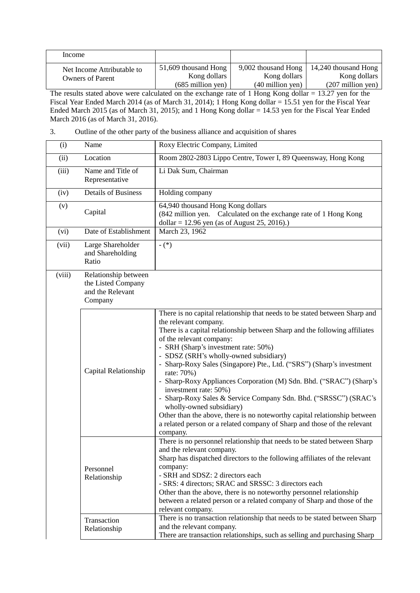| Income                                                |                                      |                                     |                                      |
|-------------------------------------------------------|--------------------------------------|-------------------------------------|--------------------------------------|
| Net Income Attributable to<br><b>Owners of Parent</b> | 51,609 thousand Hong<br>Kong dollars | 9,002 thousand Hong<br>Kong dollars | 14,240 thousand Hong<br>Kong dollars |
|                                                       | $(685$ million yen)                  | $(40$ million yen)                  | $(207 \text{ million yen})$          |

The results stated above were calculated on the exchange rate of 1 Hong Kong dollar = 13.27 yen for the Fiscal Year Ended March 2014 (as of March 31, 2014); 1 Hong Kong dollar = 15.51 yen for the Fiscal Year Ended March 2015 (as of March 31, 2015); and 1 Hong Kong dollar = 14.53 yen for the Fiscal Year Ended March 2016 (as of March 31, 2016).

## 3. Outline of the other party of the business alliance and acquisition of shares

| (i)    | Name                                                                      | Roxy Electric Company, Limited                                                                                                                                                                                                                                                                                                                                                                                                                                                                                                                                                                                                                                                                                                                              |
|--------|---------------------------------------------------------------------------|-------------------------------------------------------------------------------------------------------------------------------------------------------------------------------------------------------------------------------------------------------------------------------------------------------------------------------------------------------------------------------------------------------------------------------------------------------------------------------------------------------------------------------------------------------------------------------------------------------------------------------------------------------------------------------------------------------------------------------------------------------------|
| (ii)   | Location                                                                  | Room 2802-2803 Lippo Centre, Tower I, 89 Queensway, Hong Kong                                                                                                                                                                                                                                                                                                                                                                                                                                                                                                                                                                                                                                                                                               |
| (iii)  | Name and Title of<br>Representative                                       | Li Dak Sum, Chairman                                                                                                                                                                                                                                                                                                                                                                                                                                                                                                                                                                                                                                                                                                                                        |
| (iv)   | <b>Details of Business</b>                                                | Holding company                                                                                                                                                                                                                                                                                                                                                                                                                                                                                                                                                                                                                                                                                                                                             |
| (v)    | Capital                                                                   | 64,940 thousand Hong Kong dollars<br>(842 million yen. Calculated on the exchange rate of 1 Hong Kong<br>dollar = 12.96 yen (as of August 25, 2016).)                                                                                                                                                                                                                                                                                                                                                                                                                                                                                                                                                                                                       |
| (vi)   | Date of Establishment                                                     | March 23, 1962                                                                                                                                                                                                                                                                                                                                                                                                                                                                                                                                                                                                                                                                                                                                              |
| (vii)  | Large Shareholder<br>and Shareholding<br>Ratio                            | $-$ (*)                                                                                                                                                                                                                                                                                                                                                                                                                                                                                                                                                                                                                                                                                                                                                     |
| (viii) | Relationship between<br>the Listed Company<br>and the Relevant<br>Company |                                                                                                                                                                                                                                                                                                                                                                                                                                                                                                                                                                                                                                                                                                                                                             |
|        | Capital Relationship                                                      | There is no capital relationship that needs to be stated between Sharp and<br>the relevant company.<br>There is a capital relationship between Sharp and the following affiliates<br>of the relevant company:<br>- SRH (Sharp's investment rate: 50%)<br>- SDSZ (SRH's wholly-owned subsidiary)<br>- Sharp-Roxy Sales (Singapore) Pte., Ltd. ("SRS") (Sharp's investment<br>rate: 70%)<br>- Sharp-Roxy Appliances Corporation (M) Sdn. Bhd. ("SRAC") (Sharp's<br>investment rate: 50%)<br>- Sharp-Roxy Sales & Service Company Sdn. Bhd. ("SRSSC") (SRAC's<br>wholly-owned subsidiary)<br>Other than the above, there is no noteworthy capital relationship between<br>a related person or a related company of Sharp and those of the relevant<br>company. |
|        | Personnel<br>Relationship                                                 | There is no personnel relationship that needs to be stated between Sharp<br>and the relevant company.<br>Sharp has dispatched directors to the following affiliates of the relevant<br>company:<br>- SRH and SDSZ: 2 directors each<br>- SRS: 4 directors; SRAC and SRSSC: 3 directors each<br>Other than the above, there is no noteworthy personnel relationship<br>between a related person or a related company of Sharp and those of the<br>relevant company.                                                                                                                                                                                                                                                                                          |
|        | Transaction<br>Relationship                                               | There is no transaction relationship that needs to be stated between Sharp<br>and the relevant company.<br>There are transaction relationships, such as selling and purchasing Sharp                                                                                                                                                                                                                                                                                                                                                                                                                                                                                                                                                                        |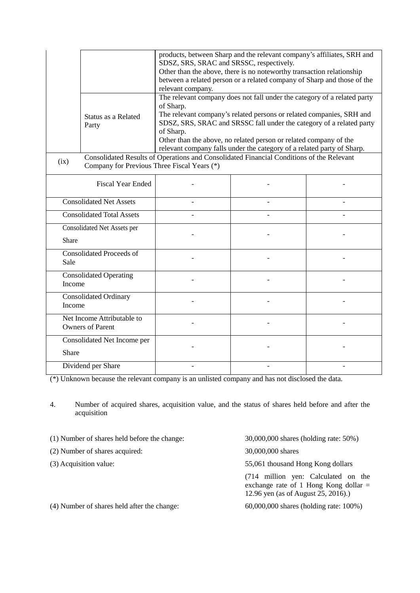|                                                                                                                                                 | Status as a Related<br>Party | SDSZ, SRS, SRAC and SRSSC, respectively.<br>relevant company.<br>of Sharp.<br>of Sharp. | products, between Sharp and the relevant company's affiliates, SRH and<br>Other than the above, there is no noteworthy transaction relationship<br>between a related person or a related company of Sharp and those of the<br>The relevant company does not fall under the category of a related party<br>The relevant company's related persons or related companies, SRH and<br>SDSZ, SRS, SRAC and SRSSC fall under the category of a related party<br>Other than the above, no related person or related company of the<br>relevant company falls under the category of a related party of Sharp. |  |
|-------------------------------------------------------------------------------------------------------------------------------------------------|------------------------------|-----------------------------------------------------------------------------------------|-------------------------------------------------------------------------------------------------------------------------------------------------------------------------------------------------------------------------------------------------------------------------------------------------------------------------------------------------------------------------------------------------------------------------------------------------------------------------------------------------------------------------------------------------------------------------------------------------------|--|
| Consolidated Results of Operations and Consolidated Financial Conditions of the Relevant<br>(ix)<br>Company for Previous Three Fiscal Years (*) |                              |                                                                                         |                                                                                                                                                                                                                                                                                                                                                                                                                                                                                                                                                                                                       |  |
|                                                                                                                                                 | <b>Fiscal Year Ended</b>     |                                                                                         |                                                                                                                                                                                                                                                                                                                                                                                                                                                                                                                                                                                                       |  |
| <b>Consolidated Net Assets</b>                                                                                                                  |                              |                                                                                         |                                                                                                                                                                                                                                                                                                                                                                                                                                                                                                                                                                                                       |  |
| <b>Consolidated Total Assets</b>                                                                                                                |                              |                                                                                         |                                                                                                                                                                                                                                                                                                                                                                                                                                                                                                                                                                                                       |  |
| Consolidated Net Assets per<br>Share                                                                                                            |                              |                                                                                         |                                                                                                                                                                                                                                                                                                                                                                                                                                                                                                                                                                                                       |  |
| <b>Consolidated Proceeds of</b><br>Sale                                                                                                         |                              |                                                                                         |                                                                                                                                                                                                                                                                                                                                                                                                                                                                                                                                                                                                       |  |
| <b>Consolidated Operating</b><br>Income                                                                                                         |                              |                                                                                         |                                                                                                                                                                                                                                                                                                                                                                                                                                                                                                                                                                                                       |  |
| <b>Consolidated Ordinary</b><br>Income                                                                                                          |                              |                                                                                         |                                                                                                                                                                                                                                                                                                                                                                                                                                                                                                                                                                                                       |  |
| Net Income Attributable to<br><b>Owners of Parent</b>                                                                                           |                              |                                                                                         |                                                                                                                                                                                                                                                                                                                                                                                                                                                                                                                                                                                                       |  |
| Consolidated Net Income per<br>Share                                                                                                            |                              |                                                                                         |                                                                                                                                                                                                                                                                                                                                                                                                                                                                                                                                                                                                       |  |
| Dividend per Share                                                                                                                              |                              |                                                                                         |                                                                                                                                                                                                                                                                                                                                                                                                                                                                                                                                                                                                       |  |

(\*) Unknown because the relevant company is an unlisted company and has not disclosed the data.

4. Number of acquired shares, acquisition value, and the status of shares held before and after the acquisition

- (1) Number of shares held before the change: 30,000,000 shares (holding rate: 50%)
- (2) Number of shares acquired: 30,000,000 shares
- 

(3) Acquisition value: 55,061 thousand Hong Kong dollars

(714 million yen: Calculated on the exchange rate of 1 Hong Kong dollar  $=$ 12.96 yen (as of August 25, 2016).)

(4) Number of shares held after the change: 60,000,000 shares (holding rate: 100%)